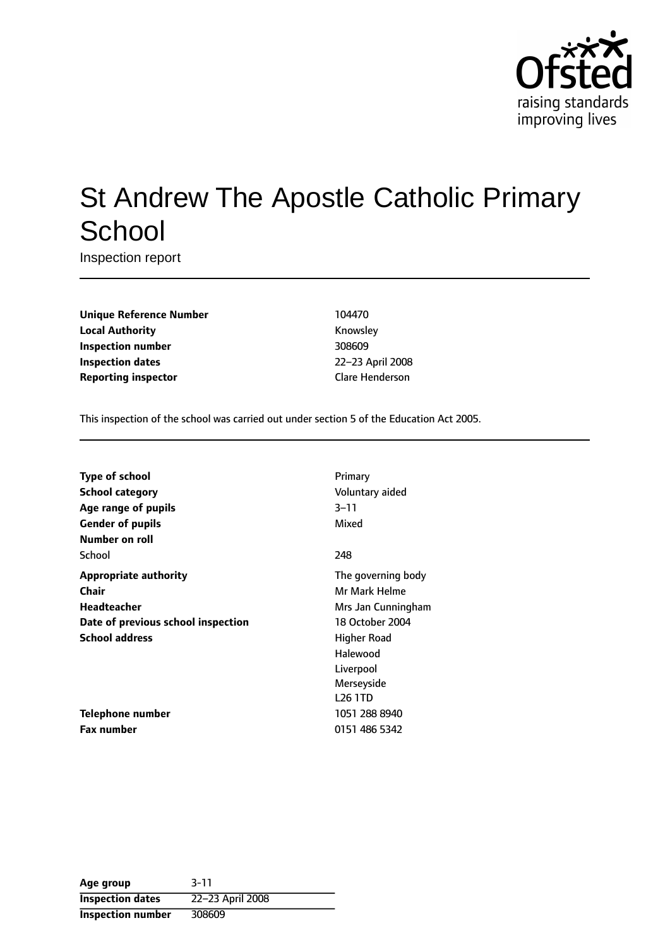

# St Andrew The Apostle Catholic Primary **School**

Inspection report

**Unique Reference Number** 104470 **Local Authority Knowsley Inspection number** 308609 **Inspection dates** 22-23 April 2008 **Reporting inspector** Clare Henderson

This inspection of the school was carried out under section 5 of the Education Act 2005.

| <b>Type of school</b>              | Primary            |
|------------------------------------|--------------------|
| <b>School category</b>             | Voluntary aided    |
| Age range of pupils                | $3 - 11$           |
| <b>Gender of pupils</b>            | Mixed              |
| Number on roll                     |                    |
| School                             | 248                |
| <b>Appropriate authority</b>       | The governing body |
| <b>Chair</b>                       | Mr Mark Helme      |
| <b>Headteacher</b>                 | Mrs Jan Cunningham |
| Date of previous school inspection | 18 October 2004    |
| <b>School address</b>              | Higher Road        |
|                                    | Halewood           |
|                                    | Liverpool          |
|                                    | Merseyside         |
|                                    | <b>L26 1TD</b>     |
| Telephone number                   | 1051 288 8940      |
| <b>Fax number</b>                  | 0151 486 5342      |

| Age group                | $3 - 11$         |
|--------------------------|------------------|
| <b>Inspection dates</b>  | 22-23 April 2008 |
| <b>Inspection number</b> | 308609           |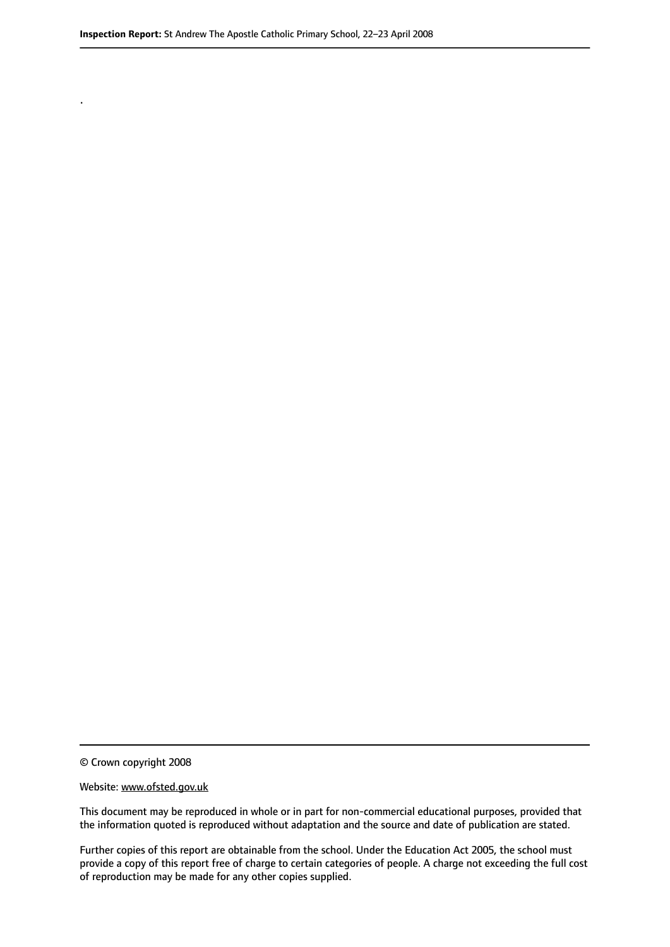© Crown copyright 2008

.

#### Website: www.ofsted.gov.uk

This document may be reproduced in whole or in part for non-commercial educational purposes, provided that the information quoted is reproduced without adaptation and the source and date of publication are stated.

Further copies of this report are obtainable from the school. Under the Education Act 2005, the school must provide a copy of this report free of charge to certain categories of people. A charge not exceeding the full cost of reproduction may be made for any other copies supplied.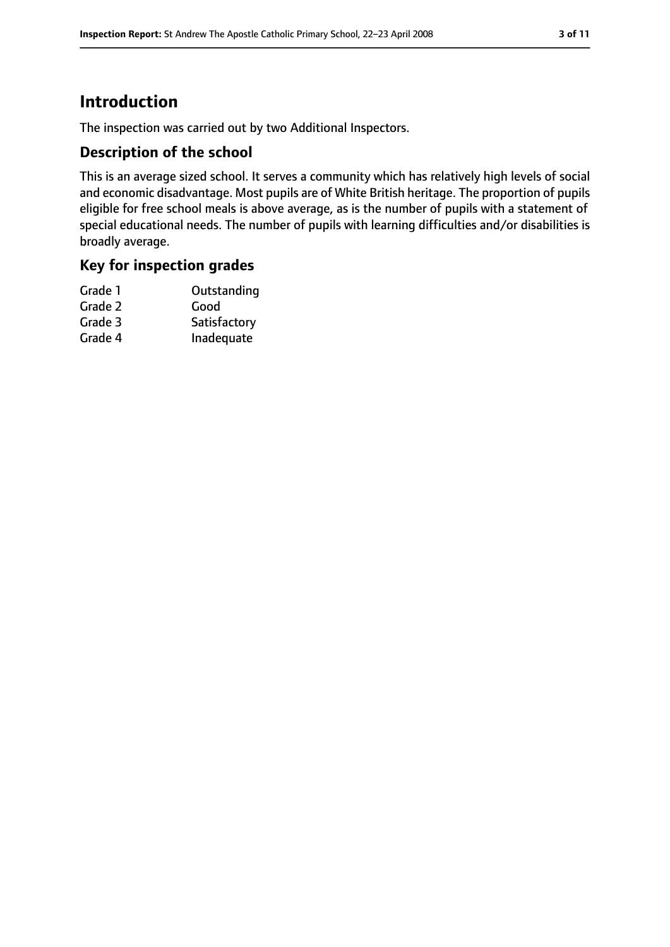# **Introduction**

The inspection was carried out by two Additional Inspectors.

## **Description of the school**

This is an average sized school. It serves a community which has relatively high levels of social and economic disadvantage. Most pupils are of White British heritage. The proportion of pupils eligible for free school meals is above average, as is the number of pupils with a statement of special educational needs. The number of pupils with learning difficulties and/or disabilities is broadly average.

### **Key for inspection grades**

| Grade 1 | Outstanding  |
|---------|--------------|
| Grade 2 | Good         |
| Grade 3 | Satisfactory |
| Grade 4 | Inadequate   |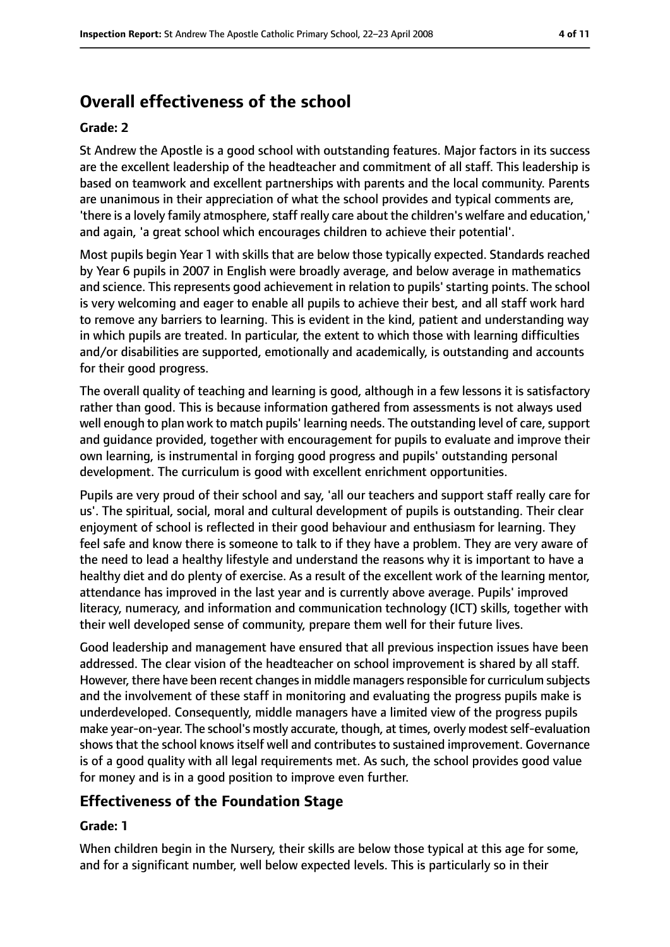# **Overall effectiveness of the school**

#### **Grade: 2**

St Andrew the Apostle is a good school with outstanding features. Major factors in its success are the excellent leadership of the headteacher and commitment of all staff. This leadership is based on teamwork and excellent partnerships with parents and the local community. Parents are unanimous in their appreciation of what the school provides and typical comments are, 'there is a lovely family atmosphere, staff really care about the children's welfare and education,' and again, 'a great school which encourages children to achieve their potential'.

Most pupils begin Year 1 with skills that are below those typically expected. Standards reached by Year 6 pupils in 2007 in English were broadly average, and below average in mathematics and science. This represents good achievement in relation to pupils' starting points. The school is very welcoming and eager to enable all pupils to achieve their best, and all staff work hard to remove any barriers to learning. This is evident in the kind, patient and understanding way in which pupils are treated. In particular, the extent to which those with learning difficulties and/or disabilities are supported, emotionally and academically, is outstanding and accounts for their good progress.

The overall quality of teaching and learning is good, although in a few lessons it is satisfactory rather than good. This is because information gathered from assessments is not always used well enough to plan work to match pupils' learning needs. The outstanding level of care, support and guidance provided, together with encouragement for pupils to evaluate and improve their own learning, is instrumental in forging good progress and pupils' outstanding personal development. The curriculum is good with excellent enrichment opportunities.

Pupils are very proud of their school and say, 'all our teachers and support staff really care for us'. The spiritual, social, moral and cultural development of pupils is outstanding. Their clear enjoyment of school is reflected in their good behaviour and enthusiasm for learning. They feel safe and know there is someone to talk to if they have a problem. They are very aware of the need to lead a healthy lifestyle and understand the reasons why it is important to have a healthy diet and do plenty of exercise. As a result of the excellent work of the learning mentor, attendance has improved in the last year and is currently above average. Pupils' improved literacy, numeracy, and information and communication technology (ICT) skills, together with their well developed sense of community, prepare them well for their future lives.

Good leadership and management have ensured that all previous inspection issues have been addressed. The clear vision of the headteacher on school improvement is shared by all staff. However, there have been recent changes in middle managers responsible for curriculum subjects and the involvement of these staff in monitoring and evaluating the progress pupils make is underdeveloped. Consequently, middle managers have a limited view of the progress pupils make year-on-year. The school's mostly accurate, though, at times, overly modest self-evaluation shows that the school knows itself well and contributes to sustained improvement. Governance is of a good quality with all legal requirements met. As such, the school provides good value for money and is in a good position to improve even further.

# **Effectiveness of the Foundation Stage**

#### **Grade: 1**

When children begin in the Nursery, their skills are below those typical at this age for some, and for a significant number, well below expected levels. This is particularly so in their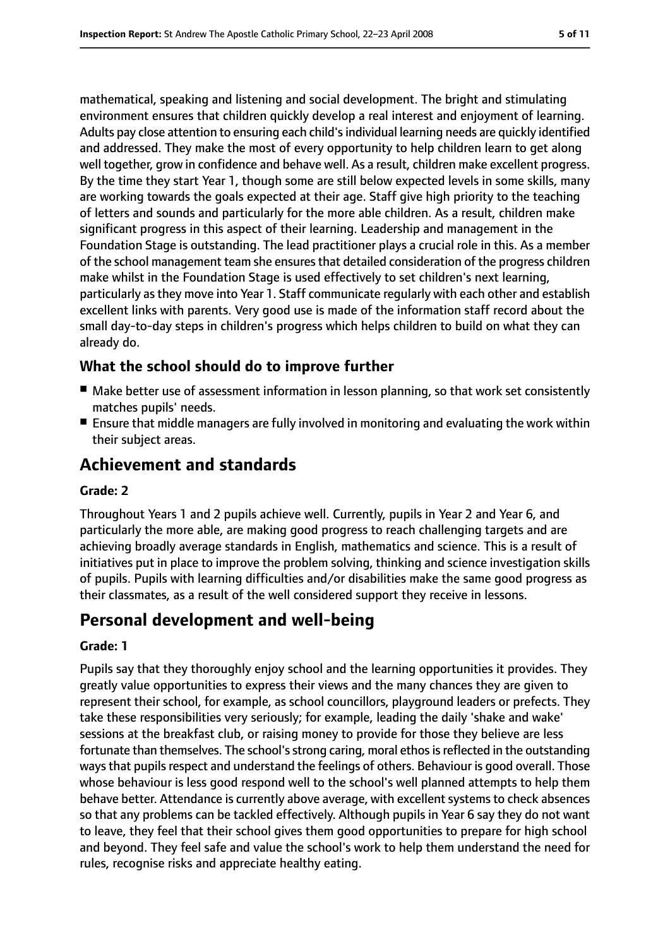mathematical, speaking and listening and social development. The bright and stimulating environment ensures that children quickly develop a real interest and enjoyment of learning. Adults pay close attention to ensuring each child'sindividual learning needs are quickly identified and addressed. They make the most of every opportunity to help children learn to get along well together, grow in confidence and behave well. As a result, children make excellent progress. By the time they start Year 1, though some are still below expected levels in some skills, many are working towards the goals expected at their age. Staff give high priority to the teaching of letters and sounds and particularly for the more able children. As a result, children make significant progress in this aspect of their learning. Leadership and management in the Foundation Stage is outstanding. The lead practitioner plays a crucial role in this. As a member of the school management team she ensuresthat detailed consideration of the progress children make whilst in the Foundation Stage is used effectively to set children's next learning, particularly as they move into Year 1. Staff communicate regularly with each other and establish excellent links with parents. Very good use is made of the information staff record about the small day-to-day steps in children's progress which helps children to build on what they can already do.

# **What the school should do to improve further**

- Make better use of assessment information in lesson planning, so that work set consistently matches pupils' needs.
- Ensure that middle managers are fully involved in monitoring and evaluating the work within their subject areas.

# **Achievement and standards**

#### **Grade: 2**

Throughout Years 1 and 2 pupils achieve well. Currently, pupils in Year 2 and Year 6, and particularly the more able, are making good progress to reach challenging targets and are achieving broadly average standards in English, mathematics and science. This is a result of initiatives put in place to improve the problem solving, thinking and science investigation skills of pupils. Pupils with learning difficulties and/or disabilities make the same good progress as their classmates, as a result of the well considered support they receive in lessons.

# **Personal development and well-being**

#### **Grade: 1**

Pupils say that they thoroughly enjoy school and the learning opportunities it provides. They greatly value opportunities to express their views and the many chances they are given to represent their school, for example, as school councillors, playground leaders or prefects. They take these responsibilities very seriously; for example, leading the daily 'shake and wake' sessions at the breakfast club, or raising money to provide for those they believe are less fortunate than themselves. The school's strong caring, moral ethos is reflected in the outstanding ways that pupils respect and understand the feelings of others. Behaviour is good overall. Those whose behaviour is less good respond well to the school's well planned attempts to help them behave better. Attendance is currently above average, with excellent systems to check absences so that any problems can be tackled effectively. Although pupils in Year 6 say they do not want to leave, they feel that their school gives them good opportunities to prepare for high school and beyond. They feel safe and value the school's work to help them understand the need for rules, recognise risks and appreciate healthy eating.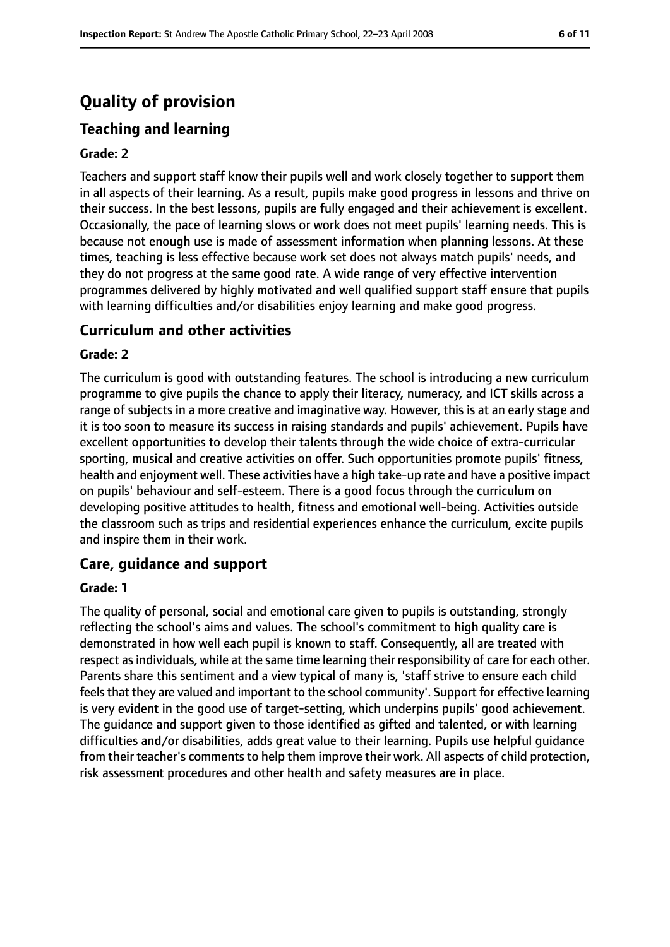# **Quality of provision**

# **Teaching and learning**

#### **Grade: 2**

Teachers and support staff know their pupils well and work closely together to support them in all aspects of their learning. As a result, pupils make good progress in lessons and thrive on their success. In the best lessons, pupils are fully engaged and their achievement is excellent. Occasionally, the pace of learning slows or work does not meet pupils' learning needs. This is because not enough use is made of assessment information when planning lessons. At these times, teaching is less effective because work set does not always match pupils' needs, and they do not progress at the same good rate. A wide range of very effective intervention programmes delivered by highly motivated and well qualified support staff ensure that pupils with learning difficulties and/or disabilities enjoy learning and make good progress.

### **Curriculum and other activities**

#### **Grade: 2**

The curriculum is good with outstanding features. The school is introducing a new curriculum programme to give pupils the chance to apply their literacy, numeracy, and ICT skills across a range of subjects in a more creative and imaginative way. However, this is at an early stage and it is too soon to measure its success in raising standards and pupils' achievement. Pupils have excellent opportunities to develop their talents through the wide choice of extra-curricular sporting, musical and creative activities on offer. Such opportunities promote pupils' fitness, health and enjoyment well. These activities have a high take-up rate and have a positive impact on pupils' behaviour and self-esteem. There is a good focus through the curriculum on developing positive attitudes to health, fitness and emotional well-being. Activities outside the classroom such as trips and residential experiences enhance the curriculum, excite pupils and inspire them in their work.

### **Care, guidance and support**

#### **Grade: 1**

The quality of personal, social and emotional care given to pupils is outstanding, strongly reflecting the school's aims and values. The school's commitment to high quality care is demonstrated in how well each pupil is known to staff. Consequently, all are treated with respect asindividuals, while at the same time learning their responsibility of care for each other. Parents share this sentiment and a view typical of many is, 'staff strive to ensure each child feels that they are valued and important to the school community'. Support for effective learning is very evident in the good use of target-setting, which underpins pupils' good achievement. The guidance and support given to those identified as gifted and talented, or with learning difficulties and/or disabilities, adds great value to their learning. Pupils use helpful guidance from their teacher's comments to help them improve their work. All aspects of child protection, risk assessment procedures and other health and safety measures are in place.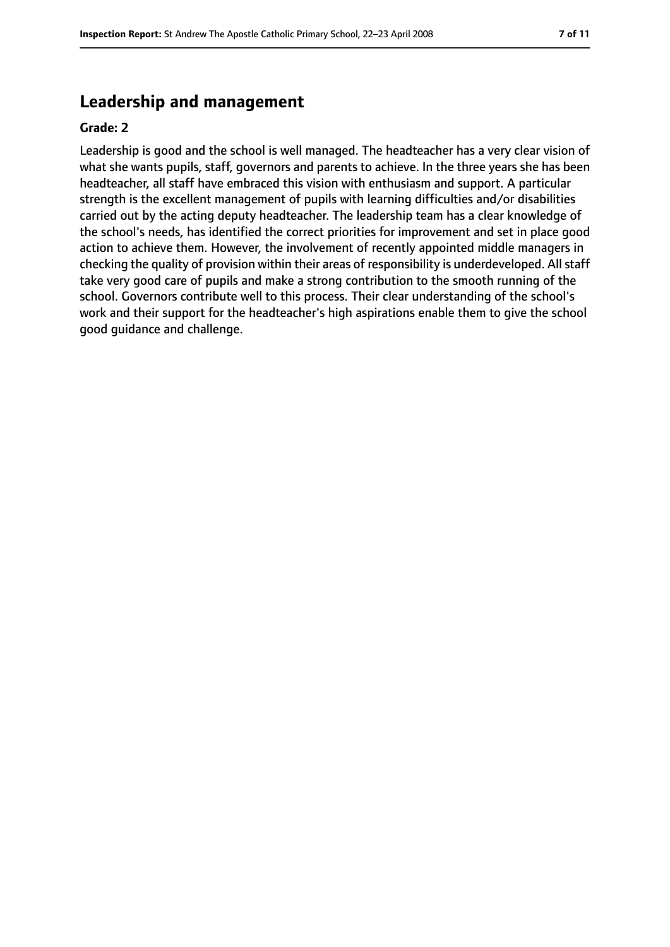# **Leadership and management**

#### **Grade: 2**

Leadership is good and the school is well managed. The headteacher has a very clear vision of what she wants pupils, staff, governors and parents to achieve. In the three years she has been headteacher, all staff have embraced this vision with enthusiasm and support. A particular strength is the excellent management of pupils with learning difficulties and/or disabilities carried out by the acting deputy headteacher. The leadership team has a clear knowledge of the school's needs, has identified the correct priorities for improvement and set in place good action to achieve them. However, the involvement of recently appointed middle managers in checking the quality of provision within their areas of responsibility is underdeveloped. All staff take very good care of pupils and make a strong contribution to the smooth running of the school. Governors contribute well to this process. Their clear understanding of the school's work and their support for the headteacher's high aspirations enable them to give the school good guidance and challenge.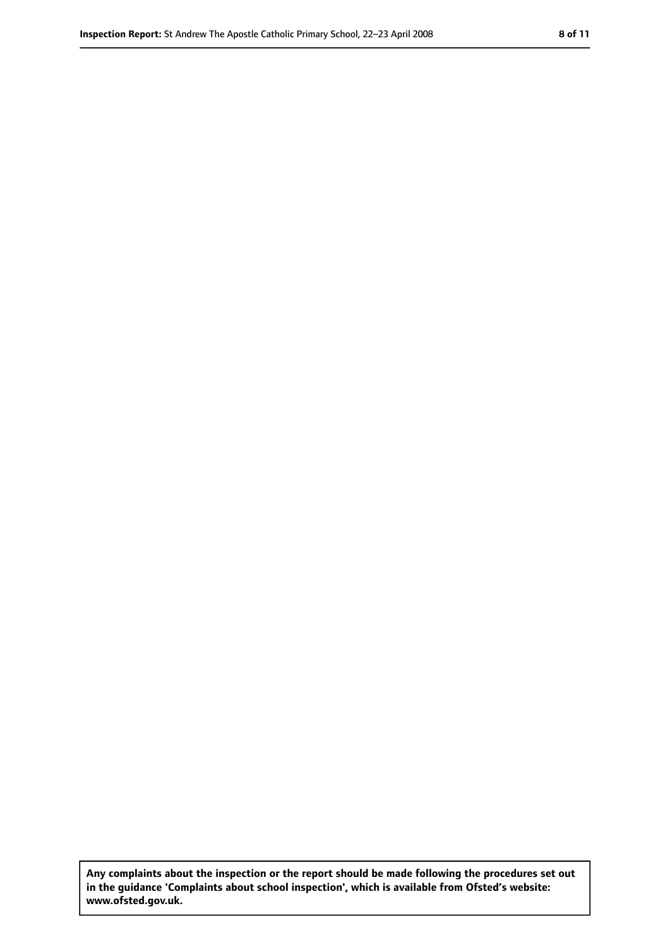**Any complaints about the inspection or the report should be made following the procedures set out in the guidance 'Complaints about school inspection', which is available from Ofsted's website: www.ofsted.gov.uk.**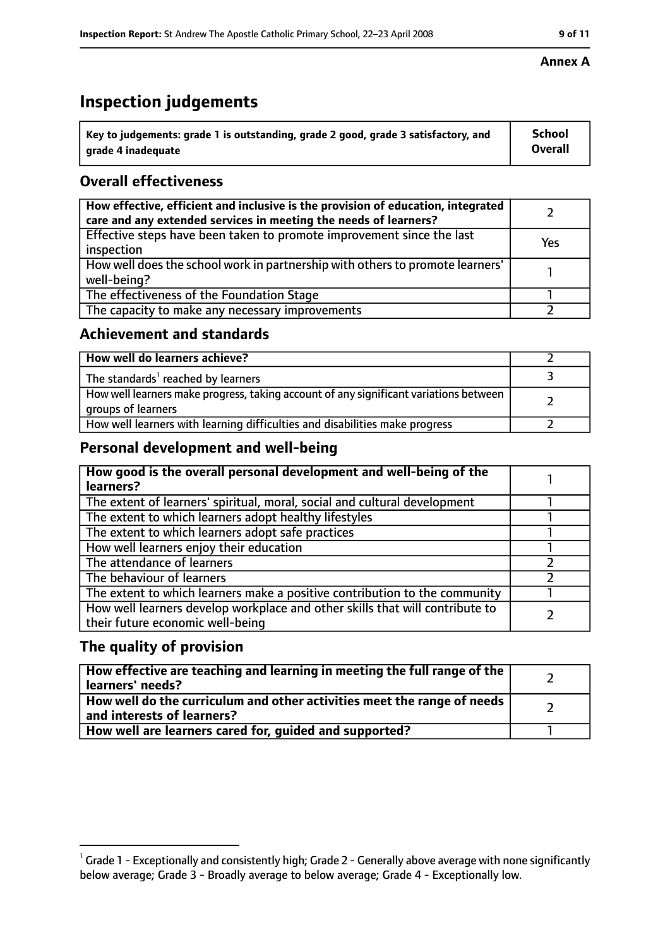# **Inspection judgements**

| $^{\backprime}$ Key to judgements: grade 1 is outstanding, grade 2 good, grade 3 satisfactory, and | <b>School</b>  |
|----------------------------------------------------------------------------------------------------|----------------|
| arade 4 inadeguate                                                                                 | <b>Overall</b> |

# **Overall effectiveness**

| How effective, efficient and inclusive is the provision of education, integrated<br>care and any extended services in meeting the needs of learners? |     |
|------------------------------------------------------------------------------------------------------------------------------------------------------|-----|
| Effective steps have been taken to promote improvement since the last<br>inspection                                                                  | Yes |
| How well does the school work in partnership with others to promote learners'<br>well-being?                                                         |     |
| The effectiveness of the Foundation Stage                                                                                                            |     |
| The capacity to make any necessary improvements                                                                                                      |     |

## **Achievement and standards**

| How well do learners achieve?                                                                               |  |
|-------------------------------------------------------------------------------------------------------------|--|
| The standards <sup>1</sup> reached by learners                                                              |  |
| How well learners make progress, taking account of any significant variations between<br>groups of learners |  |
| How well learners with learning difficulties and disabilities make progress                                 |  |

# **Personal development and well-being**

| The extent of learners' spiritual, moral, social and cultural development<br>The extent to which learners adopt healthy lifestyles<br>The extent to which learners adopt safe practices<br>How well learners enjoy their education<br>The attendance of learners<br>The behaviour of learners | How good is the overall personal development and well-being of the<br>learners? |  |
|-----------------------------------------------------------------------------------------------------------------------------------------------------------------------------------------------------------------------------------------------------------------------------------------------|---------------------------------------------------------------------------------|--|
|                                                                                                                                                                                                                                                                                               |                                                                                 |  |
|                                                                                                                                                                                                                                                                                               |                                                                                 |  |
|                                                                                                                                                                                                                                                                                               |                                                                                 |  |
|                                                                                                                                                                                                                                                                                               |                                                                                 |  |
|                                                                                                                                                                                                                                                                                               |                                                                                 |  |
|                                                                                                                                                                                                                                                                                               |                                                                                 |  |
|                                                                                                                                                                                                                                                                                               |                                                                                 |  |
|                                                                                                                                                                                                                                                                                               | The extent to which learners make a positive contribution to the community      |  |
| How well learners develop workplace and other skills that will contribute to<br>their future economic well-being                                                                                                                                                                              |                                                                                 |  |

# **The quality of provision**

| How effective are teaching and learning in meeting the full range of the<br>learners' needs?          |  |
|-------------------------------------------------------------------------------------------------------|--|
| How well do the curriculum and other activities meet the range of needs<br>and interests of learners? |  |
| How well are learners cared for, quided and supported?                                                |  |

#### **Annex A**

 $^1$  Grade 1 - Exceptionally and consistently high; Grade 2 - Generally above average with none significantly below average; Grade 3 - Broadly average to below average; Grade 4 - Exceptionally low.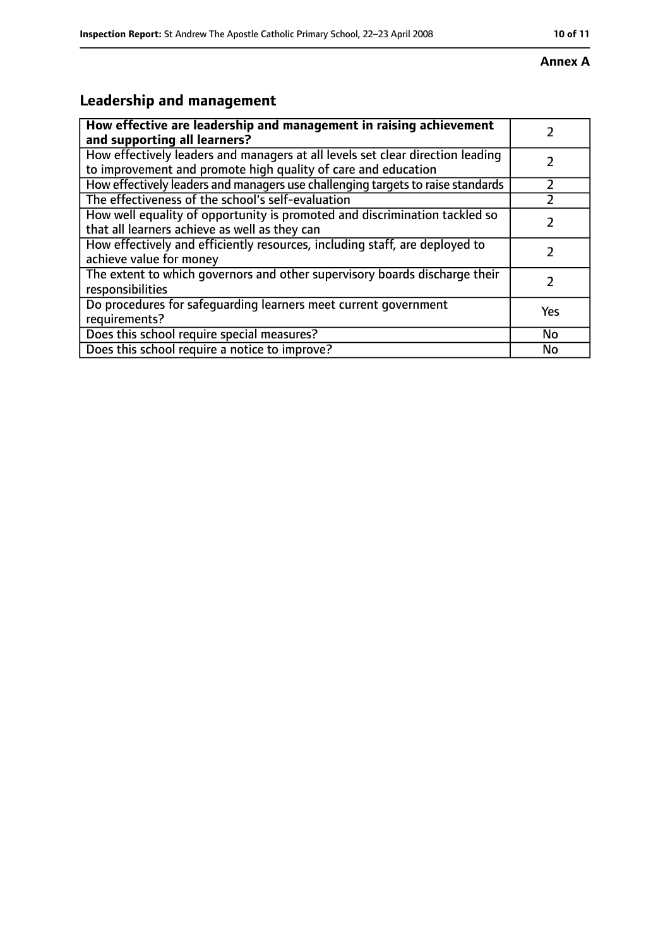#### **Annex A**

# **Leadership and management**

| How effective are leadership and management in raising achievement<br>and supporting all learners?                                              |     |
|-------------------------------------------------------------------------------------------------------------------------------------------------|-----|
| How effectively leaders and managers at all levels set clear direction leading<br>to improvement and promote high quality of care and education |     |
| How effectively leaders and managers use challenging targets to raise standards                                                                 |     |
| The effectiveness of the school's self-evaluation                                                                                               |     |
| How well equality of opportunity is promoted and discrimination tackled so<br>that all learners achieve as well as they can                     |     |
| How effectively and efficiently resources, including staff, are deployed to<br>achieve value for money                                          |     |
| The extent to which governors and other supervisory boards discharge their<br>responsibilities                                                  |     |
| Do procedures for safequarding learners meet current government<br>requirements?                                                                | Yes |
| Does this school require special measures?                                                                                                      | No  |
| Does this school require a notice to improve?                                                                                                   | No  |